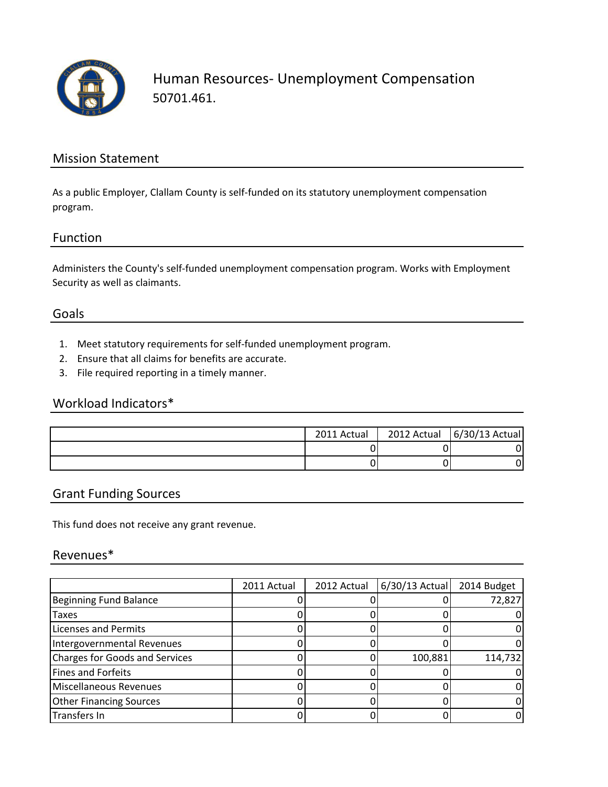

Human Resources- Unemployment Compensation 50701.461.

#### Mission Statement

As a public Employer, Clallam County is self-funded on its statutory unemployment compensation program.

#### Function

Administers the County's self-funded unemployment compensation program. Works with Employment Security as well as claimants.

#### Goals

- 1. Meet statutory requirements for self-funded unemployment program.
- 2. Ensure that all claims for benefits are accurate.
- 3. File required reporting in a timely manner.

### Workload Indicators\*

| 2011 Actual | 2012 Actual | 6/30/13 Actual |
|-------------|-------------|----------------|
|             |             |                |
|             |             |                |

#### Grant Funding Sources

This fund does not receive any grant revenue.

#### Revenues\*

|                                | 2011 Actual | 2012 Actual | $6/30/13$ Actual | 2014 Budget |
|--------------------------------|-------------|-------------|------------------|-------------|
| Beginning Fund Balance         |             |             |                  | 72,827      |
| <b>Taxes</b>                   |             |             |                  |             |
| <b>Licenses and Permits</b>    |             |             |                  |             |
| Intergovernmental Revenues     |             |             |                  |             |
| Charges for Goods and Services |             |             | 100,881          | 114,732     |
| Fines and Forfeits             |             |             |                  |             |
| Miscellaneous Revenues         |             |             |                  |             |
| <b>Other Financing Sources</b> |             |             |                  |             |
| Transfers In                   |             |             |                  |             |